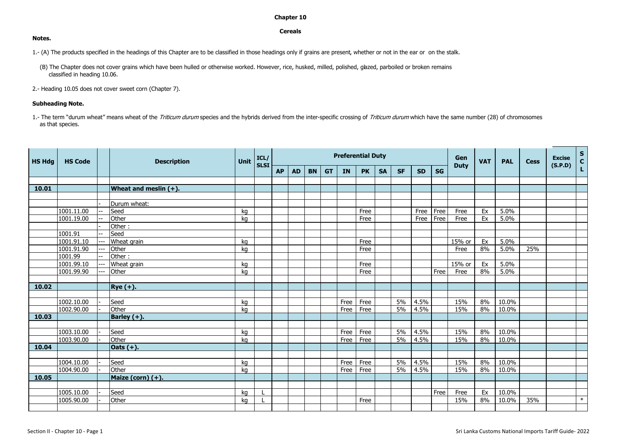## **Chapter 10**

## **Cereals**

1.- (A) The products specified in the headings of this Chapter are to be classified in those headings only if grains are present, whether or not in the ear or on the stalk.

(B) The Chapter does not cover grains which have been hulled or otherwise worked. However, rice, husked, milled, polished, glazed, parboiled or broken remains classified in heading 10.06.

2.- Heading 10.05 does not cover sweet corn (Chapter 7).

## **Subheading Note.**

1.- The term "durum wheat" means wheat of the Triticum durum species and the hybrids derived from the inter-specific crossing of Triticum durum which have the same number (28) of chromosomes as that species.

| <b>HS Hdg</b> | <b>HS Code</b> |  | <b>Description</b>       | <b>Unit</b> | ICL/<br><b>SLSI</b> | <b>Preferential Duty</b> |           |           |           |           |           |           |           |           |           | Gen         | <b>VAT</b> | <b>PAL</b>   | <b>Cess</b> | <b>Excise</b><br>(S.P.D) | $\frac{s}{c}$ |
|---------------|----------------|--|--------------------------|-------------|---------------------|--------------------------|-----------|-----------|-----------|-----------|-----------|-----------|-----------|-----------|-----------|-------------|------------|--------------|-------------|--------------------------|---------------|
|               |                |  |                          |             |                     | <b>AP</b>                | <b>AD</b> | <b>BN</b> | <b>GT</b> | <b>IN</b> | <b>PK</b> | <b>SA</b> | <b>SF</b> | <b>SD</b> | <b>SG</b> | <b>Duty</b> |            |              |             |                          |               |
|               |                |  |                          |             |                     |                          |           |           |           |           |           |           |           |           |           |             |            |              |             |                          |               |
| 10.01         |                |  | Wheat and meslin $(+)$ . |             |                     |                          |           |           |           |           |           |           |           |           |           |             |            |              |             |                          |               |
|               |                |  |                          |             |                     |                          |           |           |           |           |           |           |           |           |           |             |            |              |             |                          |               |
|               |                |  | Durum wheat:             |             |                     |                          |           |           |           |           |           |           |           |           |           |             |            |              |             |                          |               |
|               | 1001.11.00     |  | Seed<br>Other            | kg          |                     |                          |           |           |           |           | Free      |           |           | Free      | Free      | Free        | Ex         | 5.0%<br>5.0% |             |                          |               |
|               | 1001.19.00     |  | Other:                   | kg          |                     |                          |           |           |           |           | Free      |           |           | Free      | Free      | Free        | Ex         |              |             |                          |               |
|               | 1001.91        |  | Seed                     |             |                     |                          |           |           |           |           |           |           |           |           |           |             |            |              |             |                          |               |
|               | 1001.91.10     |  | Wheat grain              | kg          |                     |                          |           |           |           |           | Free      |           |           |           |           | 15% or      | Ex         | 5.0%         |             |                          |               |
|               | 1001.91.90     |  | Other                    | kg          |                     |                          |           |           |           |           | Free      |           |           |           |           | Free        | 8%         | 5.0%         | 25%         |                          |               |
|               | 1001.99        |  | Other:                   |             |                     |                          |           |           |           |           |           |           |           |           |           |             |            |              |             |                          |               |
|               | 1001.99.10     |  | Wheat grain              | kg          |                     |                          |           |           |           |           | Free      |           |           |           |           | 15% or      | Ex         | 5.0%         |             |                          |               |
|               | 1001.99.90     |  | Other                    | kg          |                     |                          |           |           |           |           | Free      |           |           |           | Free      | Free        | 8%         | 5.0%         |             |                          |               |
|               |                |  |                          |             |                     |                          |           |           |           |           |           |           |           |           |           |             |            |              |             |                          |               |
| 10.02         |                |  | $ Rye(+) $ .             |             |                     |                          |           |           |           |           |           |           |           |           |           |             |            |              |             |                          |               |
|               |                |  |                          |             |                     |                          |           |           |           |           |           |           |           |           |           |             |            |              |             |                          |               |
|               | 1002.10.00     |  | Seed                     | kg          |                     |                          |           |           |           | Free      | Free      |           | 5%        | 4.5%      |           | 15%         | 8%         | 10.0%        |             |                          |               |
|               | 1002.90.00     |  | Other                    | kg          |                     |                          |           |           |           | Free      | Free      |           | 5%        | 4.5%      |           | 15%         | 8%         | 10.0%        |             |                          |               |
| 10.03         |                |  | Barley (+).              |             |                     |                          |           |           |           |           |           |           |           |           |           |             |            |              |             |                          |               |
|               |                |  |                          |             |                     |                          |           |           |           |           |           |           |           |           |           |             |            |              |             |                          |               |
|               | 1003.10.00     |  | Seed                     | kg          |                     |                          |           |           |           | Free      | Free      |           | 5%        | 4.5%      |           | 15%         | 8%         | 10.0%        |             |                          |               |
|               | 1003.90.00     |  | Other                    | kg          |                     |                          |           |           |           | Free      | Free      |           | 5%        | 4.5%      |           | 15%         | 8%         | 10.0%        |             |                          |               |
| 10.04         |                |  | Oats $(+)$ .             |             |                     |                          |           |           |           |           |           |           |           |           |           |             |            |              |             |                          |               |
|               |                |  |                          |             |                     |                          |           |           |           |           |           |           |           |           |           |             |            |              |             |                          |               |
|               | 1004.10.00     |  | Seed                     | kg          |                     |                          |           |           |           | Free      | Free      |           | 5%        | 4.5%      |           | 15%         | 8%         | 10.0%        |             |                          |               |
|               | 1004.90.00     |  | Other                    | kg          |                     |                          |           |           |           | Free      | Free      |           | 5%        | 4.5%      |           | 15%         | 8%         | 10.0%        |             |                          |               |
| 10.05         |                |  | Maize (corn) (+).        |             |                     |                          |           |           |           |           |           |           |           |           |           |             |            |              |             |                          |               |
|               |                |  |                          |             |                     |                          |           |           |           |           |           |           |           |           |           |             |            |              |             |                          |               |
|               | 1005.10.00     |  | Seed                     | kg          |                     |                          |           |           |           |           |           |           |           |           | Free      | Free        | Ex         | 10.0%        |             |                          |               |
|               | 1005.90.00     |  | Other                    | kg          |                     |                          |           |           |           |           | Free      |           |           |           |           | 15%         | 8%         | 10.0%        | 35%         |                          | $*$           |
|               |                |  |                          |             |                     |                          |           |           |           |           |           |           |           |           |           |             |            |              |             |                          |               |